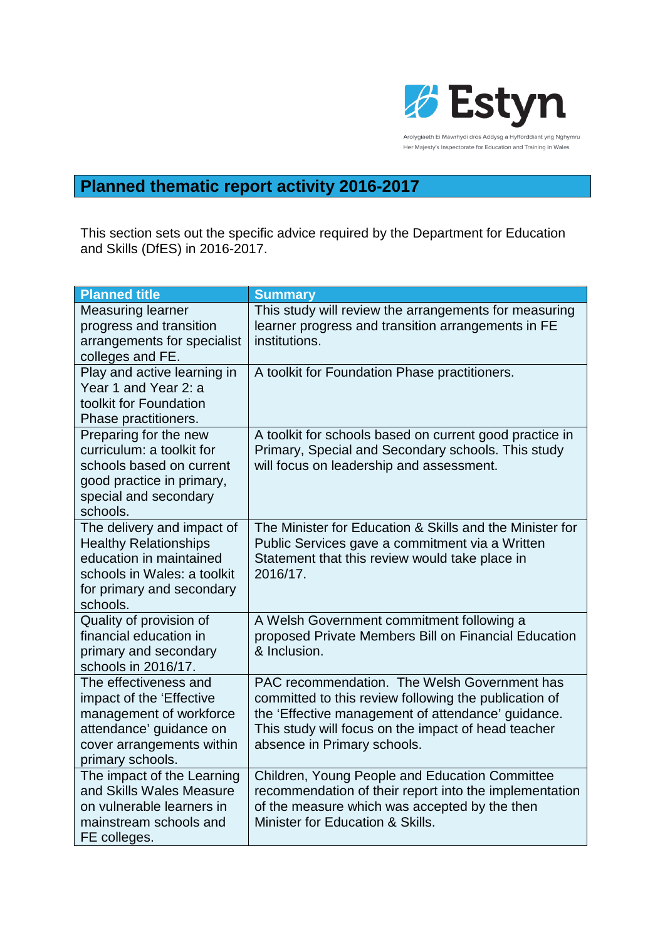

## **Planned thematic report activity 2016-2017**

This section sets out the specific advice required by the Department for Education and Skills (DfES) in 2016-2017.

| <b>Planned title</b>                                                                                                                                          | <b>Summary</b>                                                                                                                                                                                                                                    |
|---------------------------------------------------------------------------------------------------------------------------------------------------------------|---------------------------------------------------------------------------------------------------------------------------------------------------------------------------------------------------------------------------------------------------|
| <b>Measuring learner</b><br>progress and transition<br>arrangements for specialist<br>colleges and FE.                                                        | This study will review the arrangements for measuring<br>learner progress and transition arrangements in FE<br>institutions.                                                                                                                      |
| Play and active learning in<br>Year 1 and Year 2: a<br>toolkit for Foundation<br>Phase practitioners.                                                         | A toolkit for Foundation Phase practitioners.                                                                                                                                                                                                     |
| Preparing for the new<br>curriculum: a toolkit for<br>schools based on current<br>good practice in primary,<br>special and secondary<br>schools.              | A toolkit for schools based on current good practice in<br>Primary, Special and Secondary schools. This study<br>will focus on leadership and assessment.                                                                                         |
| The delivery and impact of<br><b>Healthy Relationships</b><br>education in maintained<br>schools in Wales: a toolkit<br>for primary and secondary<br>schools. | The Minister for Education & Skills and the Minister for<br>Public Services gave a commitment via a Written<br>Statement that this review would take place in<br>2016/17.                                                                         |
| Quality of provision of<br>financial education in<br>primary and secondary<br>schools in 2016/17.                                                             | A Welsh Government commitment following a<br>proposed Private Members Bill on Financial Education<br>& Inclusion.                                                                                                                                 |
| The effectiveness and<br>impact of the 'Effective<br>management of workforce<br>attendance' guidance on<br>cover arrangements within<br>primary schools.      | PAC recommendation. The Welsh Government has<br>committed to this review following the publication of<br>the 'Effective management of attendance' guidance.<br>This study will focus on the impact of head teacher<br>absence in Primary schools. |
| The impact of the Learning<br>and Skills Wales Measure<br>on vulnerable learners in<br>mainstream schools and<br>FE colleges.                                 | Children, Young People and Education Committee<br>recommendation of their report into the implementation<br>of the measure which was accepted by the then<br>Minister for Education & Skills.                                                     |